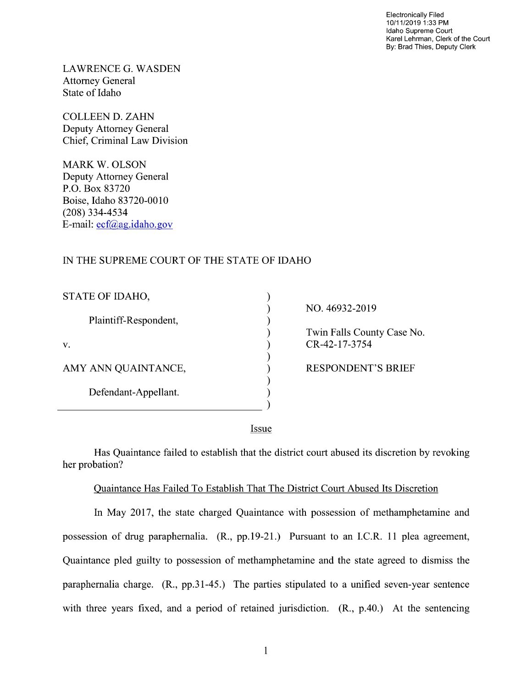Electronically Filed 10/11/2019 1:33 PM Idaho Supreme Court Karel Lehrman, Clerk of the Court By: Brad Thies, Deputy Clerk

LAWRENCE G. WASDEN Attorney General State of Idaho

COLLEEN D. ZAHN Deputy Attorney General Chief, Criminal Law Division

MARK W. OLSON Deputy Attorney General P.O. Box 83720 Boise, Idaho 83720-0010 (208) 334—4534 E—mail: ecf@ag.idaho.gov

## IN THE SUPREME COURT OF THE STATE OF IDAHO

| STATE OF IDAHO,       |  |
|-----------------------|--|
| Plaintiff-Respondent, |  |
| V.                    |  |
| AMY ANN QUAINTANCE,   |  |
| Defendant-Appellant.  |  |
|                       |  |

NO. 46932-2019 Twin Falls County Case N0.  $CR-42-17-3754$ AMY ANN QUAINTANCE, RESPONDENT'S BRIEF

Issue

 $\mathcal{E}$  $\mathcal{E}$  $\lambda$ 

 $\mathcal{E}$  $\mathcal{E}$  $\mathcal{E}$  $\mathcal{E}$ 

Has Quaintance failed to establish that the district court abused its discretion by revoking her probation?

## Quaintance Has Failed To Establish That The District Court Abused Its Discretion

In May 2017, the state charged Quaintance with possession 0f methamphetamine and possession of drug paraphernalia. (R., pp.19-21.) Pursuant to an I.C.R. 11 plea agreement, Quaintance pled guilty to possession of methamphetamine and the state agreed to dismiss the paraphernalia charge.  $(R_{1}, pp.31-45_{1})$  The parties stipulated to a unified seven-year sentence with three years fixed, and a period of retained jurisdiction.  $(R, p.40)$ . At the sentencing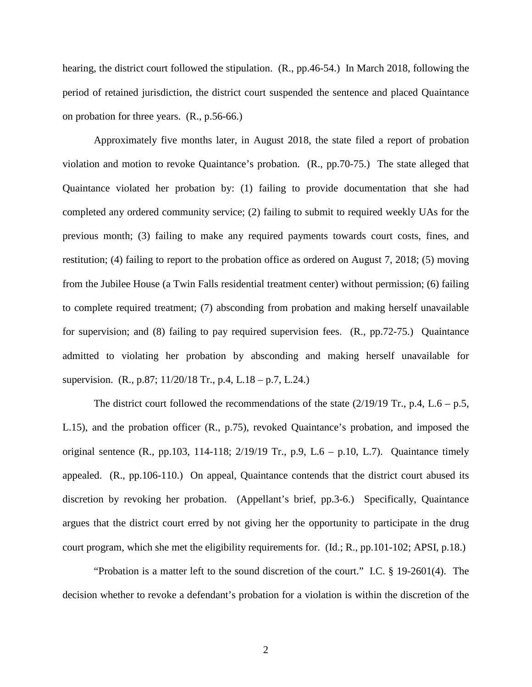hearing, the district court followed the stipulation. (R., pp.46-54.) In March 2018, following the period of retained jurisdiction, the district court suspended the sentence and placed Quaintance on probation for three years. (R., p.56-66.)

Approximately five months later, in August 2018, the state filed a report of probation violation and motion to revoke Quaintance's probation. (R., pp.70-75.) The state alleged that Quaintance violated her probation by: (1) failing to provide documentation that she had completed any ordered community service; (2) failing to submit to required weekly UAs for the previous month; (3) failing to make any required payments towards court costs, fines, and restitution; (4) failing to report to the probation office as ordered on August 7, 2018; (5) moving from the Jubilee House (a Twin Falls residential treatment center) without permission; (6) failing to complete required treatment; (7) absconding from probation and making herself unavailable for supervision; and (8) failing to pay required supervision fees. (R., pp.72-75.) Quaintance admitted to violating her probation by absconding and making herself unavailable for supervision. (R., p.87; 11/20/18 Tr., p.4, L.18 – p.7, L.24.)

The district court followed the recommendations of the state  $(2/19/19)$  Tr., p.4, L.6 – p.5, L.15), and the probation officer (R., p.75), revoked Quaintance's probation, and imposed the original sentence  $(R_1, pp.103, 114-118; 2/19/19$  Tr., p.9, L.6 – p.10, L.7). Quaintance timely appealed. (R., pp.106-110.) On appeal, Quaintance contends that the district court abused its discretion by revoking her probation. (Appellant's brief, pp.3-6.) Specifically, Quaintance argues that the district court erred by not giving her the opportunity to participate in the drug court program, which she met the eligibility requirements for. (Id.; R., pp.101-102; APSI, p.18.)

"Probation is a matter left to the sound discretion of the court." I.C. § 19-2601(4). The decision whether to revoke a defendant's probation for a violation is within the discretion of the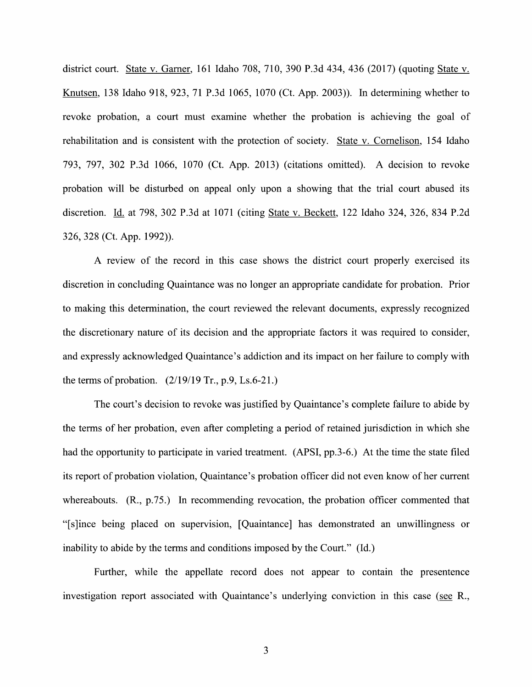district court. State V. Garner, 161 Idaho 708, 710, 390 P.3d 434, 436 (2017) (quoting State V. Knutsen, 138 Idaho 918, 923, 71 P.3d 1065, 1070 (Ct. App. 2003)). In determining whether to revoke probation, a court must examine whether the probation is achieving the goal of rehabilitation and is consistent with the protection of society. State v. Cornelison, 154 Idaho 793, 797, 302 P.3d 1066, 1070 (Ct. App. 2013) (citations omitted). A decision to revoke probation will be disturbed on appeal only upon a showing that the trial court abused its discretion. Id. at 798, 302 P.3d at 1071 (citing State v. Beckett, 122 Idaho 324, 326, 834 P.2d 326, 328 (Ct. App. 1992)).

review 0f the record in this case shows the district court properly exercised its discretion in concluding Quaintance was n0 longer an appropriate candidate for probation. Prior to making this determination, the court reviewed the relevant documents, expressly recognized the discretionary nature of its decision and the appropriate factors it was required to consider, and expressly acknowledged Quaintance's addiction and its impact on her failure to comply with the terms of probation.  $(2/19/19 \text{ Tr}, p.9, Ls.6-21.)$ 

The court's decision to revoke was justified by Quaintance's complete failure to abide by the terms of her probation, even after completing a period of retained jurisdiction in which she had the opportunity to participate in varied treatment. (APSI, pp.3-6.) At the time the state filed its report of probation violation, Quaintance's probation officer did not even know of her current whereabouts. (R., p.75.) In recommending revocation, the probation officer commented that "[s]ince being placed 0n supervision, [Quaintance] has demonstrated an unwillingness or inability to abide by the terms and conditions imposed by the Court." (Id.)

Further, while the appellate record does not appear to contain the presentence investigation report associated With Quaintance's underlying conviction in this case (see R.,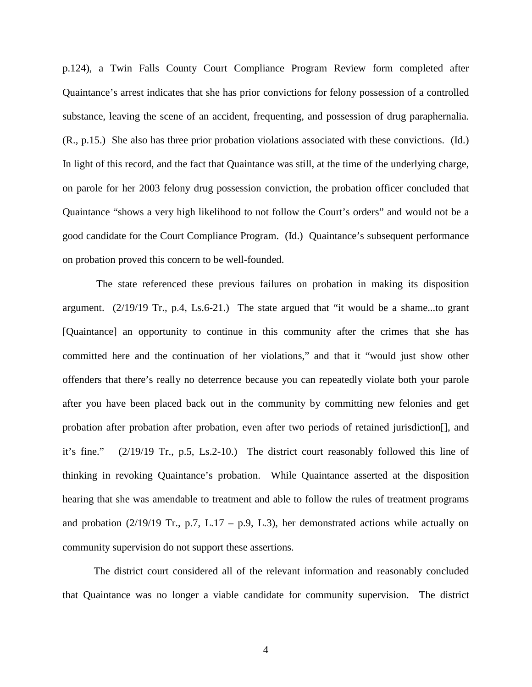p.124), a Twin Falls County Court Compliance Program Review form completed after Quaintance's arrest indicates that she has prior convictions for felony possession of a controlled substance, leaving the scene of an accident, frequenting, and possession of drug paraphernalia. (R., p.15.) She also has three prior probation violations associated with these convictions. (Id.) In light of this record, and the fact that Quaintance was still, at the time of the underlying charge, on parole for her 2003 felony drug possession conviction, the probation officer concluded that Quaintance "shows a very high likelihood to not follow the Court's orders" and would not be a good candidate for the Court Compliance Program. (Id.) Quaintance's subsequent performance on probation proved this concern to be well-founded.

The state referenced these previous failures on probation in making its disposition argument. (2/19/19 Tr., p.4, Ls.6-21.) The state argued that "it would be a shame...to grant [Quaintance] an opportunity to continue in this community after the crimes that she has committed here and the continuation of her violations," and that it "would just show other offenders that there's really no deterrence because you can repeatedly violate both your parole after you have been placed back out in the community by committing new felonies and get probation after probation after probation, even after two periods of retained jurisdiction[], and it's fine." (2/19/19 Tr., p.5, Ls.2-10.) The district court reasonably followed this line of thinking in revoking Quaintance's probation. While Quaintance asserted at the disposition hearing that she was amendable to treatment and able to follow the rules of treatment programs and probation  $(2/19/19 \text{ Tr}., p.7, L.17 - p.9, L.3)$ , her demonstrated actions while actually on community supervision do not support these assertions.

The district court considered all of the relevant information and reasonably concluded that Quaintance was no longer a viable candidate for community supervision. The district